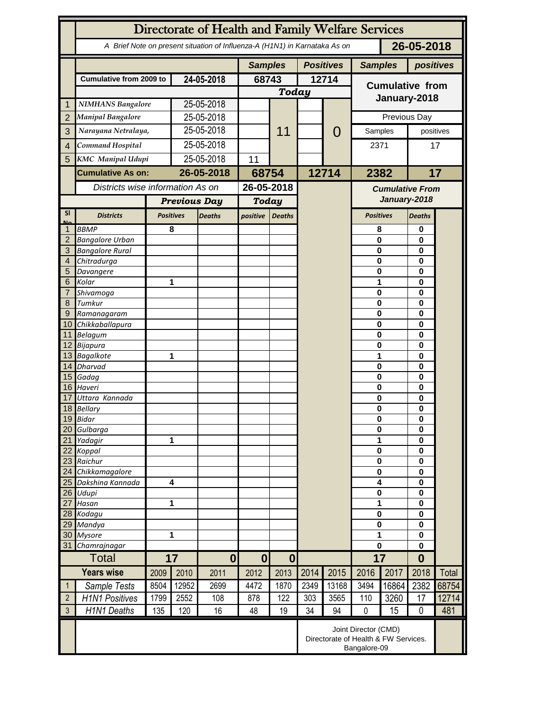|                 | Directorate of Health and Family Welfare Services                                        |                                                                              |                                   |                |                              |               |                  |                |                                        |                                   |                      |              |  |
|-----------------|------------------------------------------------------------------------------------------|------------------------------------------------------------------------------|-----------------------------------|----------------|------------------------------|---------------|------------------|----------------|----------------------------------------|-----------------------------------|----------------------|--------------|--|
|                 | 26-05-2018<br>A Brief Note on present situation of Influenza-A (H1N1) in Karnataka As on |                                                                              |                                   |                |                              |               |                  |                |                                        |                                   |                      |              |  |
|                 |                                                                                          |                                                                              |                                   | <b>Samples</b> |                              |               | <b>Positives</b> | <b>Samples</b> |                                        | positives                         |                      |              |  |
|                 | <b>Cumulative from 2009 to</b>                                                           |                                                                              | 24-05-2018                        |                | 68743                        |               | 12714            |                |                                        |                                   |                      |              |  |
|                 |                                                                                          |                                                                              |                                   |                | <b>Today</b>                 |               |                  |                | <b>Cumulative from</b>                 |                                   |                      |              |  |
| 1               | <b>NIMHANS Bangalore</b>                                                                 |                                                                              | 25-05-2018                        |                |                              |               |                  |                | January-2018                           |                                   |                      |              |  |
| $\overline{2}$  | <b>Manipal Bangalore</b>                                                                 |                                                                              |                                   | 25-05-2018     |                              |               |                  |                | Previous Day                           |                                   |                      |              |  |
| 3               |                                                                                          | Narayana Netralaya,                                                          |                                   | 25-05-2018     |                              | 11            |                  | $\mathcal{O}$  | Samples                                |                                   | positives            |              |  |
|                 | Command Hospital                                                                         |                                                                              | 25-05-2018                        |                |                              |               |                  |                | 2371                                   |                                   |                      |              |  |
| $\overline{4}$  |                                                                                          |                                                                              |                                   |                |                              |               |                  |                |                                        |                                   | 17                   |              |  |
| 5               | <b>KMC</b> Manipal Udupi                                                                 |                                                                              | 25-05-2018                        |                | 11                           |               |                  |                |                                        |                                   |                      |              |  |
|                 | <b>Cumulative As on:</b>                                                                 |                                                                              | 26-05-2018                        |                | 68754                        |               | 12714            |                | 2382                                   |                                   |                      | 17           |  |
|                 | Districts wise information As on                                                         |                                                                              |                                   |                | 26-05-2018                   |               |                  |                | <b>Cumulative From</b><br>January-2018 |                                   |                      |              |  |
|                 |                                                                                          |                                                                              | <b>Previous Day</b>               |                | <b>Today</b>                 |               |                  |                |                                        |                                   |                      |              |  |
| <b>SI</b>       | <b>Districts</b>                                                                         |                                                                              | <b>Positives</b><br><b>Deaths</b> |                | positive                     | <b>Deaths</b> |                  |                |                                        | <b>Positives</b><br><b>Deaths</b> |                      |              |  |
| Mz              | <b>BBMP</b>                                                                              |                                                                              | 8                                 |                |                              |               |                  |                | 8                                      |                                   | 0                    |              |  |
| $\overline{2}$  | <b>Bangalore Urban</b>                                                                   |                                                                              |                                   |                |                              |               |                  |                | $\mathbf{0}$                           |                                   | 0                    |              |  |
| 3               | <b>Bangalore Rural</b>                                                                   |                                                                              |                                   |                |                              |               |                  |                | 0                                      |                                   | $\bf{0}$             |              |  |
| 4               | Chitradurga                                                                              |                                                                              |                                   |                |                              |               |                  |                | 0                                      |                                   | 0                    |              |  |
| 5               | Davangere                                                                                |                                                                              |                                   |                |                              |               |                  |                | 0                                      |                                   | 0                    |              |  |
| 6               | Kolar                                                                                    |                                                                              |                                   | 1              |                              |               |                  |                | 1                                      |                                   | 0                    | 0            |  |
| 7               | Shivamoga                                                                                |                                                                              |                                   |                |                              |               |                  |                | $\mathbf 0$                            |                                   |                      |              |  |
| 8<br>9          | Tumkur                                                                                   | Ramanagaram                                                                  |                                   |                |                              |               |                  |                | $\mathbf 0$<br>$\mathbf 0$             |                                   | 0<br>0               |              |  |
| 10 <sup>°</sup> | Chikkaballapura                                                                          |                                                                              |                                   |                |                              |               |                  |                | 0                                      |                                   | 0                    |              |  |
|                 | 11 Belagum                                                                               |                                                                              |                                   |                |                              |               |                  |                | 0                                      |                                   | 0                    |              |  |
|                 | 12 Bijapura                                                                              |                                                                              |                                   |                |                              |               |                  |                | 0                                      | $\bf{0}$                          |                      |              |  |
|                 | 13 Bagalkote                                                                             |                                                                              |                                   | 1              |                              |               |                  |                | 1                                      |                                   | $\bf{0}$             |              |  |
|                 | 14 Dharvad                                                                               |                                                                              |                                   |                |                              |               |                  |                | $\mathbf 0$                            |                                   | 0                    |              |  |
|                 | 15 Gadag                                                                                 |                                                                              |                                   |                |                              |               |                  |                | $\mathbf 0$                            |                                   | 0                    |              |  |
| 17              | 16 Haveri<br>Uttara Kannada                                                              |                                                                              |                                   |                |                              |               |                  |                | $\mathbf 0$<br>0                       |                                   | $\bf{0}$<br>0        |              |  |
|                 | 18 Bellary                                                                               |                                                                              |                                   |                |                              |               |                  |                | 0                                      |                                   |                      | 0<br>0       |  |
|                 | 19 Bidar                                                                                 |                                                                              |                                   |                |                              |               |                  |                |                                        | 0                                 |                      |              |  |
| 20              | Gulbarga                                                                                 |                                                                              |                                   |                |                              |               |                  |                |                                        | $\bf{0}$                          |                      |              |  |
| 21              | Yadagir                                                                                  | 1                                                                            |                                   |                |                              |               |                  |                | 1                                      |                                   | 0                    |              |  |
| 22              | Koppal                                                                                   |                                                                              |                                   |                |                              |               |                  |                |                                        | $\bf{0}$                          |                      |              |  |
| 23              | Raichur                                                                                  |                                                                              |                                   |                |                              |               |                  |                |                                        | $\bf{0}$                          |                      |              |  |
| 24<br>25        | Chikkamagalore<br>Dakshina Kannada                                                       |                                                                              | $\overline{\mathbf{4}}$           |                |                              |               |                  |                | $\bf{0}$<br>4                          |                                   | $\bf{0}$<br>$\bf{0}$ |              |  |
| 26              | Udupi                                                                                    |                                                                              |                                   |                |                              |               |                  |                | $\pmb{0}$                              | $\bf{0}$                          |                      |              |  |
| 27              | Hasan                                                                                    |                                                                              | 1                                 |                |                              |               |                  |                | 1                                      |                                   | $\bf{0}$             |              |  |
|                 | 28 Kodagu                                                                                |                                                                              |                                   |                |                              |               |                  |                | $\pmb{0}$                              |                                   | $\bf{0}$             |              |  |
| 29              | Mandya                                                                                   |                                                                              |                                   |                |                              |               |                  |                | $\bf{0}$                               |                                   | $\bf{0}$             |              |  |
| 30              | <b>Mysore</b>                                                                            |                                                                              | 1                                 |                |                              |               |                  |                | 1                                      |                                   | $\bf{0}$             |              |  |
| 31              | Chamrajnagar                                                                             |                                                                              |                                   |                |                              |               |                  |                | 0                                      |                                   | $\bf{0}$             |              |  |
| <b>Total</b>    |                                                                                          | 17                                                                           |                                   | $\mathbf{0}$   | $\bf{0}$<br>$\boldsymbol{0}$ |               |                  |                | 17                                     |                                   | $\bf{0}$             |              |  |
|                 | <b>Years wise</b>                                                                        | 2009                                                                         | 2010                              | 2011           | 2012                         | 2013          | 2014             | 2015           | 2016                                   | 2017                              | 2018                 | <b>Total</b> |  |
| $\mathbf{1}$    | Sample Tests                                                                             | 8504                                                                         | 12952                             | 2699           | 4472                         | 1870          | 2349             | 13168          | 3494                                   | 16864                             | 2382                 | 68754        |  |
| $\overline{2}$  | <b>H1N1 Positives</b>                                                                    | 1799                                                                         | 2552                              | 108            | 878                          | 122           | 303              | 3565           | 110                                    | 3260                              | 17                   | 12714        |  |
| $\mathfrak{Z}$  | H1N1 Deaths                                                                              | 135                                                                          | 120                               | 16             | 48                           | 19            | 34               | 94             | $\mathbf 0$                            | 15                                | $\mathbf 0$          | 481          |  |
|                 |                                                                                          | Joint Director (CMD)<br>Directorate of Health & FW Services.<br>Bangalore-09 |                                   |                |                              |               |                  |                |                                        |                                   |                      |              |  |